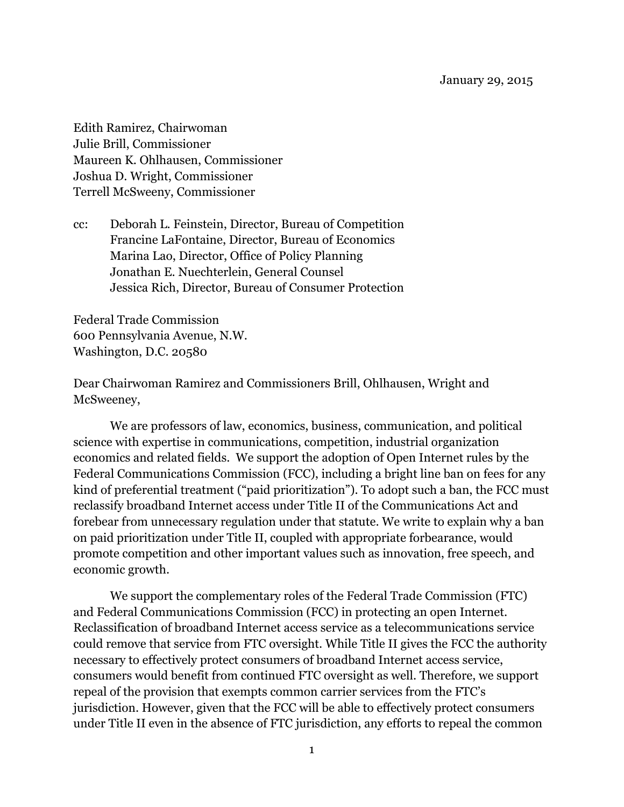Edith Ramirez, Chairwoman Julie Brill, Commissioner Maureen K. Ohlhausen, Commissioner Joshua D. Wright, Commissioner Terrell McSweeny, Commissioner

cc: Deborah L. Feinstein, Director, Bureau of Competition Francine LaFontaine, Director, Bureau of Economics Marina Lao, Director, Office of Policy Planning Jonathan E. Nuechterlein, General Counsel Jessica Rich, Director, Bureau of Consumer Protection

Federal Trade Commission 600 Pennsylvania Avenue, N.W. Washington, D.C. 20580

Dear Chairwoman Ramirez and Commissioners Brill, Ohlhausen, Wright and McSweeney,

We are professors of law, economics, business, communication, and political science with expertise in communications, competition, industrial organization economics and related fields. We support the adoption of Open Internet rules by the Federal Communications Commission (FCC), including a bright line ban on fees for any kind of preferential treatment ("paid prioritization"). To adopt such a ban, the FCC must reclassify broadband Internet access under Title II of the Communications Act and forebear from unnecessary regulation under that statute. We write to explain why a ban on paid prioritization under Title II, coupled with appropriate forbearance, would promote competition and other important values such as innovation, free speech, and economic growth.

We support the complementary roles of the Federal Trade Commission (FTC) and Federal Communications Commission (FCC) in protecting an open Internet. Reclassification of broadband Internet access service as a telecommunications service could remove that service from FTC oversight. While Title II gives the FCC the authority necessary to effectively protect consumers of broadband Internet access service, consumers would benefit from continued FTC oversight as well. Therefore, we support repeal of the provision that exempts common carrier services from the FTC's jurisdiction. However, given that the FCC will be able to effectively protect consumers under Title II even in the absence of FTC jurisdiction, any efforts to repeal the common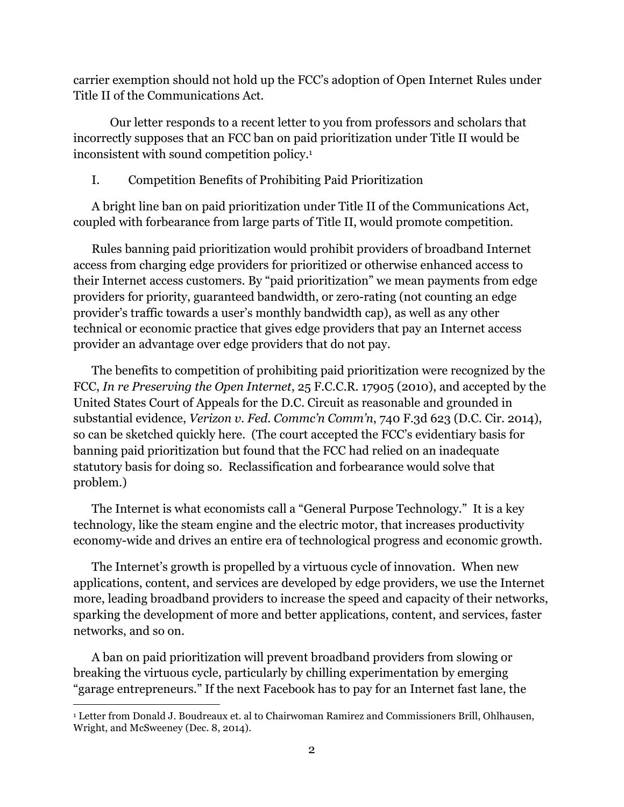carrier exemption should not hold up the FCC's adoption of Open Internet Rules under Title II of the Communications Act.

Our letter responds to a recent letter to you from professors and scholars that incorrectly supposes that an FCC ban on paid prioritization under Title II would be inconsistent with sound competition policy.1

I. Competition Benefits of Prohibiting Paid Prioritization

A bright line ban on paid prioritization under Title II of the Communications Act, coupled with forbearance from large parts of Title II, would promote competition.

Rules banning paid prioritization would prohibit providers of broadband Internet access from charging edge providers for prioritized or otherwise enhanced access to their Internet access customers. By "paid prioritization" we mean payments from edge providers for priority, guaranteed bandwidth, or zero-rating (not counting an edge provider's traffic towards a user's monthly bandwidth cap), as well as any other technical or economic practice that gives edge providers that pay an Internet access provider an advantage over edge providers that do not pay.

The benefits to competition of prohibiting paid prioritization were recognized by the FCC, *In re Preserving the Open Internet*, 25 F.C.C.R. 17905 (2010), and accepted by the United States Court of Appeals for the D.C. Circuit as reasonable and grounded in substantial evidence, *Verizon v. Fed. Commc'n Comm'n*, 740 F.3d 623 (D.C. Cir. 2014), so can be sketched quickly here. (The court accepted the FCC's evidentiary basis for banning paid prioritization but found that the FCC had relied on an inadequate statutory basis for doing so. Reclassification and forbearance would solve that problem.)

The Internet is what economists call a "General Purpose Technology." It is a key technology, like the steam engine and the electric motor, that increases productivity economy-wide and drives an entire era of technological progress and economic growth.

The Internet's growth is propelled by a virtuous cycle of innovation. When new applications, content, and services are developed by edge providers, we use the Internet more, leading broadband providers to increase the speed and capacity of their networks, sparking the development of more and better applications, content, and services, faster networks, and so on.

A ban on paid prioritization will prevent broadband providers from slowing or breaking the virtuous cycle, particularly by chilling experimentation by emerging "garage entrepreneurs." If the next Facebook has to pay for an Internet fast lane, the

 <sup>1</sup> Letter from Donald J. Boudreaux et. al to Chairwoman Ramirez and Commissioners Brill, Ohlhausen, Wright, and McSweeney (Dec. 8, 2014).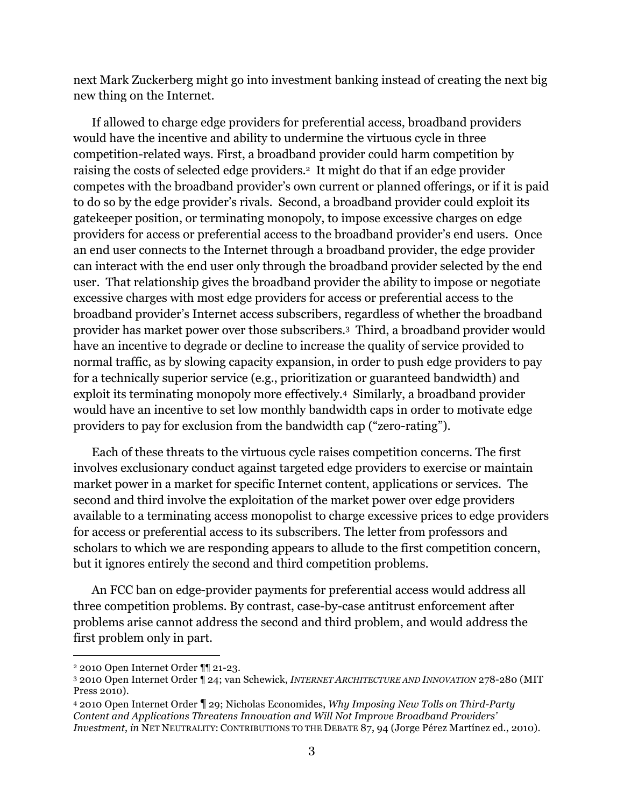next Mark Zuckerberg might go into investment banking instead of creating the next big new thing on the Internet.

If allowed to charge edge providers for preferential access, broadband providers would have the incentive and ability to undermine the virtuous cycle in three competition-related ways. First, a broadband provider could harm competition by raising the costs of selected edge providers.2 It might do that if an edge provider competes with the broadband provider's own current or planned offerings, or if it is paid to do so by the edge provider's rivals. Second, a broadband provider could exploit its gatekeeper position, or terminating monopoly, to impose excessive charges on edge providers for access or preferential access to the broadband provider's end users. Once an end user connects to the Internet through a broadband provider, the edge provider can interact with the end user only through the broadband provider selected by the end user. That relationship gives the broadband provider the ability to impose or negotiate excessive charges with most edge providers for access or preferential access to the broadband provider's Internet access subscribers, regardless of whether the broadband provider has market power over those subscribers.3 Third, a broadband provider would have an incentive to degrade or decline to increase the quality of service provided to normal traffic, as by slowing capacity expansion, in order to push edge providers to pay for a technically superior service (e.g., prioritization or guaranteed bandwidth) and exploit its terminating monopoly more effectively.4 Similarly, a broadband provider would have an incentive to set low monthly bandwidth caps in order to motivate edge providers to pay for exclusion from the bandwidth cap ("zero-rating").

Each of these threats to the virtuous cycle raises competition concerns. The first involves exclusionary conduct against targeted edge providers to exercise or maintain market power in a market for specific Internet content, applications or services. The second and third involve the exploitation of the market power over edge providers available to a terminating access monopolist to charge excessive prices to edge providers for access or preferential access to its subscribers. The letter from professors and scholars to which we are responding appears to allude to the first competition concern, but it ignores entirely the second and third competition problems.

An FCC ban on edge-provider payments for preferential access would address all three competition problems. By contrast, case-by-case antitrust enforcement after problems arise cannot address the second and third problem, and would address the first problem only in part.

 <sup>2</sup> 2010 Open Internet Order ¶¶ 21-23.

<sup>3</sup> 2010 Open Internet Order ¶ 24; van Schewick, *INTERNET ARCHITECTURE AND INNOVATION* 278-280 (MIT Press 2010).

<sup>4</sup> 2010 Open Internet Order ¶ 29; Nicholas Economides, *Why Imposing New Tolls on Third-Party Content and Applications Threatens Innovation and Will Not Improve Broadband Providers' Investment*, *in* NET NEUTRALITY: CONTRIBUTIONS TO THE DEBATE 87, 94 (Jorge Pérez Martínez ed., 2010).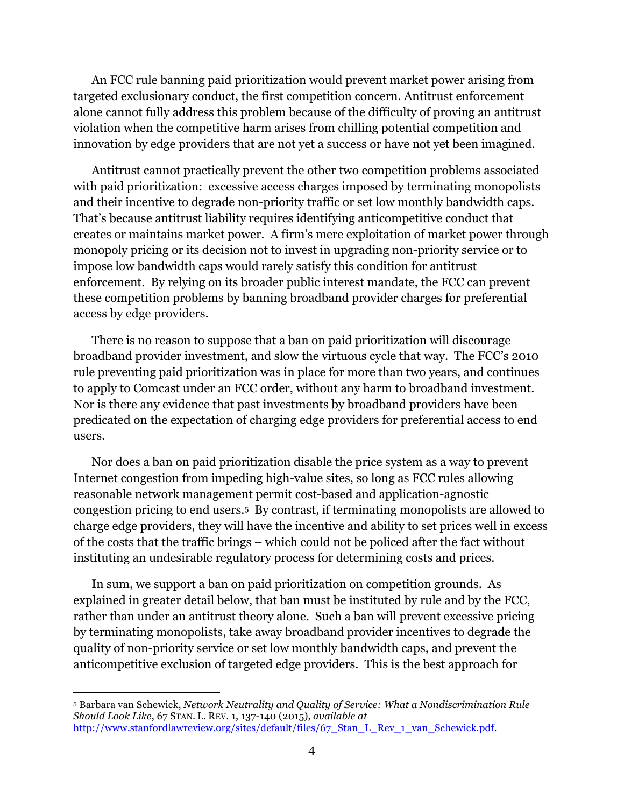An FCC rule banning paid prioritization would prevent market power arising from targeted exclusionary conduct, the first competition concern. Antitrust enforcement alone cannot fully address this problem because of the difficulty of proving an antitrust violation when the competitive harm arises from chilling potential competition and innovation by edge providers that are not yet a success or have not yet been imagined.

Antitrust cannot practically prevent the other two competition problems associated with paid prioritization: excessive access charges imposed by terminating monopolists and their incentive to degrade non-priority traffic or set low monthly bandwidth caps. That's because antitrust liability requires identifying anticompetitive conduct that creates or maintains market power. A firm's mere exploitation of market power through monopoly pricing or its decision not to invest in upgrading non-priority service or to impose low bandwidth caps would rarely satisfy this condition for antitrust enforcement. By relying on its broader public interest mandate, the FCC can prevent these competition problems by banning broadband provider charges for preferential access by edge providers.

There is no reason to suppose that a ban on paid prioritization will discourage broadband provider investment, and slow the virtuous cycle that way. The FCC's 2010 rule preventing paid prioritization was in place for more than two years, and continues to apply to Comcast under an FCC order, without any harm to broadband investment. Nor is there any evidence that past investments by broadband providers have been predicated on the expectation of charging edge providers for preferential access to end users.

Nor does a ban on paid prioritization disable the price system as a way to prevent Internet congestion from impeding high-value sites, so long as FCC rules allowing reasonable network management permit cost-based and application-agnostic congestion pricing to end users.5 By contrast, if terminating monopolists are allowed to charge edge providers, they will have the incentive and ability to set prices well in excess of the costs that the traffic brings – which could not be policed after the fact without instituting an undesirable regulatory process for determining costs and prices.

In sum, we support a ban on paid prioritization on competition grounds. As explained in greater detail below, that ban must be instituted by rule and by the FCC, rather than under an antitrust theory alone. Such a ban will prevent excessive pricing by terminating monopolists, take away broadband provider incentives to degrade the quality of non-priority service or set low monthly bandwidth caps, and prevent the anticompetitive exclusion of targeted edge providers. This is the best approach for

 <sup>5</sup> Barbara van Schewick, *Network Neutrality and Quality of Service: What a Nondiscrimination Rule Should Look Like*, 67 STAN. L. REV. 1, 137-140 (2015), *available at* http://www.stanfordlawreview.org/sites/default/files/67\_Stan\_L\_Rev\_1\_van\_Schewick.pdf.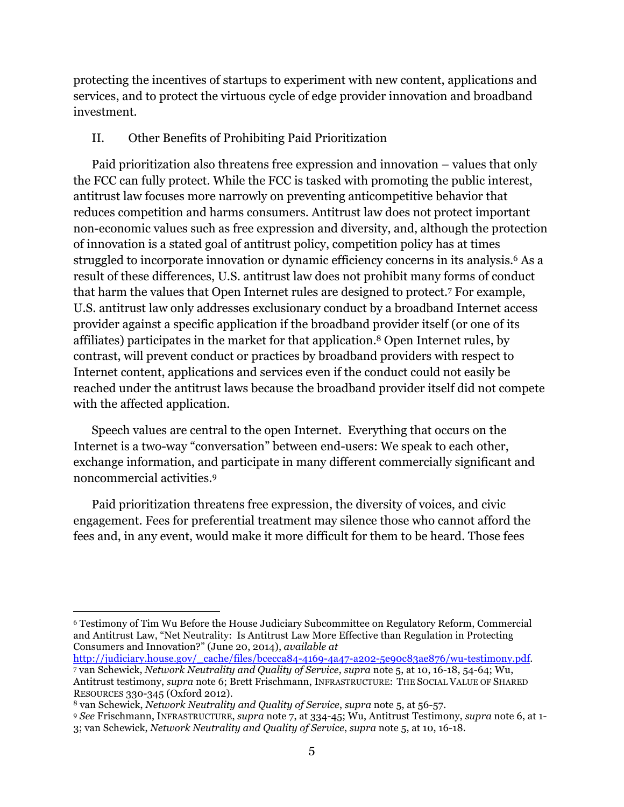protecting the incentives of startups to experiment with new content, applications and services, and to protect the virtuous cycle of edge provider innovation and broadband investment.

# II. Other Benefits of Prohibiting Paid Prioritization

Paid prioritization also threatens free expression and innovation – values that only the FCC can fully protect. While the FCC is tasked with promoting the public interest, antitrust law focuses more narrowly on preventing anticompetitive behavior that reduces competition and harms consumers. Antitrust law does not protect important non-economic values such as free expression and diversity, and, although the protection of innovation is a stated goal of antitrust policy, competition policy has at times struggled to incorporate innovation or dynamic efficiency concerns in its analysis.6 As a result of these differences, U.S. antitrust law does not prohibit many forms of conduct that harm the values that Open Internet rules are designed to protect.7 For example, U.S. antitrust law only addresses exclusionary conduct by a broadband Internet access provider against a specific application if the broadband provider itself (or one of its affiliates) participates in the market for that application.8 Open Internet rules, by contrast, will prevent conduct or practices by broadband providers with respect to Internet content, applications and services even if the conduct could not easily be reached under the antitrust laws because the broadband provider itself did not compete with the affected application.

Speech values are central to the open Internet. Everything that occurs on the Internet is a two-way "conversation" between end-users: We speak to each other, exchange information, and participate in many different commercially significant and noncommercial activities.9

Paid prioritization threatens free expression, the diversity of voices, and civic engagement. Fees for preferential treatment may silence those who cannot afford the fees and, in any event, would make it more difficult for them to be heard. Those fees

 <sup>6</sup> Testimony of Tim Wu Before the House Judiciary Subcommittee on Regulatory Reform, Commercial and Antitrust Law, "Net Neutrality: Is Antitrust Law More Effective than Regulation in Protecting Consumers and Innovation?" (June 20, 2014), *available at*

http://judiciary.house.gov/\_cache/files/bcecca84-4169-4a47-a202-5e90c83ae876/wu-testimony.pdf. <sup>7</sup> van Schewick, *Network Neutrality and Quality of Service*, *supra* note 5, at 10, 16-18, 54-64; Wu, Antitrust testimony, *supra* note 6; Brett Frischmann, INFRASTRUCTURE: THE SOCIAL VALUE OF SHARED RESOURCES 330-345 (Oxford 2012).

<sup>8</sup> van Schewick, *Network Neutrality and Quality of Service*, *supra* note 5, at 56-57.

<sup>9</sup> *See* Frischmann, INFRASTRUCTURE, *supra* note 7, at 334-45; Wu, Antitrust Testimony, *supra* note 6, at 1- 3; van Schewick, *Network Neutrality and Quality of Service*, *supra* note 5, at 10, 16-18.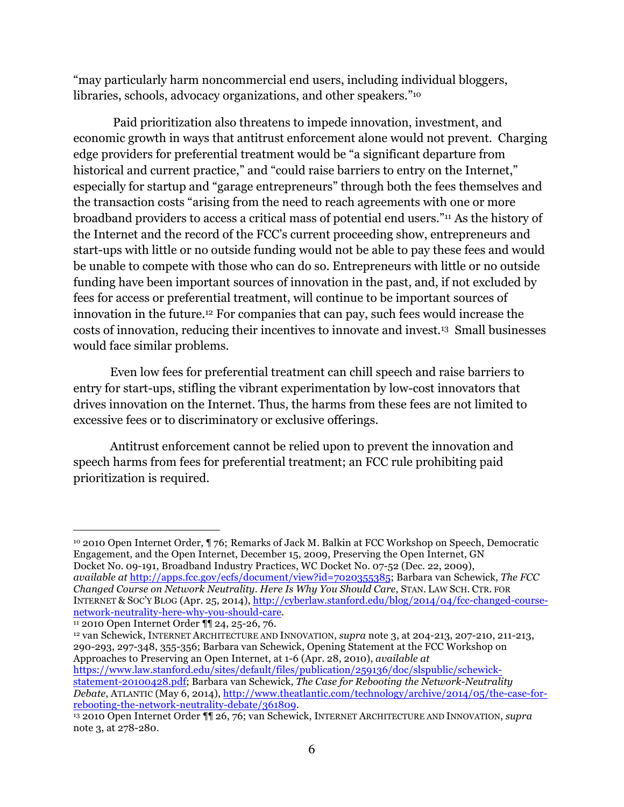"may particularly harm noncommercial end users, including individual bloggers, libraries, schools, advocacy organizations, and other speakers."10

Paid prioritization also threatens to impede innovation, investment, and economic growth in ways that antitrust enforcement alone would not prevent. Charging edge providers for preferential treatment would be "a significant departure from historical and current practice," and "could raise barriers to entry on the Internet," especially for startup and "garage entrepreneurs" through both the fees themselves and the transaction costs "arising from the need to reach agreements with one or more broadband providers to access a critical mass of potential end users."11 As the history of the Internet and the record of the FCC's current proceeding show, entrepreneurs and start-ups with little or no outside funding would not be able to pay these fees and would be unable to compete with those who can do so. Entrepreneurs with little or no outside funding have been important sources of innovation in the past, and, if not excluded by fees for access or preferential treatment, will continue to be important sources of innovation in the future.12 For companies that can pay, such fees would increase the costs of innovation, reducing their incentives to innovate and invest.13 Small businesses would face similar problems.

Even low fees for preferential treatment can chill speech and raise barriers to entry for start-ups, stifling the vibrant experimentation by low-cost innovators that drives innovation on the Internet. Thus, the harms from these fees are not limited to excessive fees or to discriminatory or exclusive offerings.

Antitrust enforcement cannot be relied upon to prevent the innovation and speech harms from fees for preferential treatment; an FCC rule prohibiting paid prioritization is required.

 10 2010 Open Internet Order, ¶ 76; Remarks of Jack M. Balkin at FCC Workshop on Speech, Democratic Engagement, and the Open Internet, December 15, 2009, Preserving the Open Internet, GN Docket No. 09-191, Broadband Industry Practices, WC Docket No. 07-52 (Dec. 22, 2009), *available at* http://apps.fcc.gov/ecfs/document/view?id=7020355385; Barbara van Schewick, *The FCC Changed Course on Network Neutrality. Here Is Why You Should Care*, STAN. LAW SCH. CTR. FOR INTERNET & SOC'Y BLOG (Apr. 25, 2014), http://cyberlaw.stanford.edu/blog/2014/04/fcc-changed-coursenetwork-neutrality-here-why-you-should-care.

<sup>11</sup> 2010 Open Internet Order ¶¶ 24, 25-26, 76.

<sup>12</sup> van Schewick, INTERNET ARCHITECTURE AND INNOVATION, *supra* note 3, at 204-213, 207-210, 211-213, 290-293, 297-348, 355-356; Barbara van Schewick, Opening Statement at the FCC Workshop on Approaches to Preserving an Open Internet, at 1-6 (Apr. 28, 2010), *available at*  https://www.law.stanford.edu/sites/default/files/publication/259136/doc/slspublic/schewickstatement-20100428.pdf; Barbara van Schewick, *The Case for Rebooting the Network-Neutrality Debate*, ATLANTIC (May 6, 2014), http://www.theatlantic.com/technology/archive/2014/05/the-case-forrebooting-the-network-neutrality-debate/361809.

<sup>13</sup> 2010 Open Internet Order ¶¶ 26, 76; van Schewick, INTERNET ARCHITECTURE AND INNOVATION, *supra* note 3, at 278-280.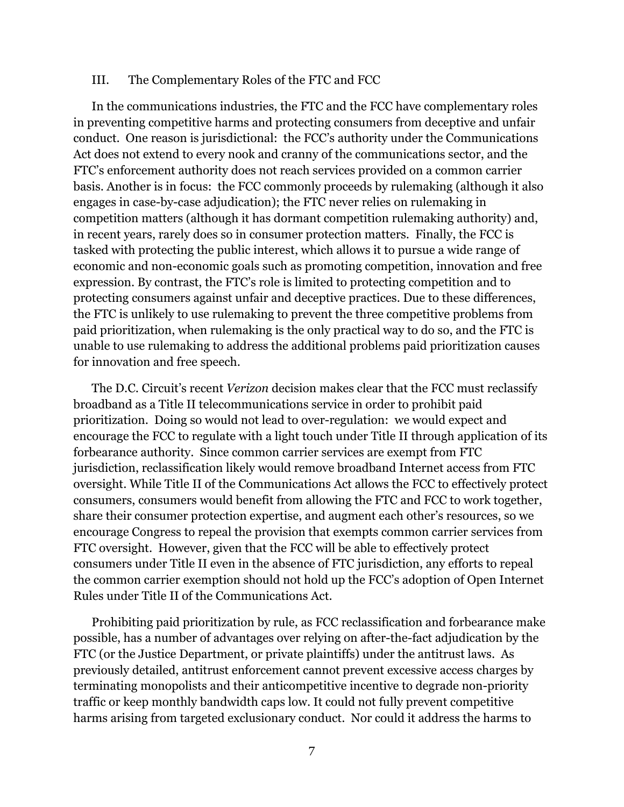#### III. The Complementary Roles of the FTC and FCC

In the communications industries, the FTC and the FCC have complementary roles in preventing competitive harms and protecting consumers from deceptive and unfair conduct. One reason is jurisdictional: the FCC's authority under the Communications Act does not extend to every nook and cranny of the communications sector, and the FTC's enforcement authority does not reach services provided on a common carrier basis. Another is in focus: the FCC commonly proceeds by rulemaking (although it also engages in case-by-case adjudication); the FTC never relies on rulemaking in competition matters (although it has dormant competition rulemaking authority) and, in recent years, rarely does so in consumer protection matters. Finally, the FCC is tasked with protecting the public interest, which allows it to pursue a wide range of economic and non-economic goals such as promoting competition, innovation and free expression. By contrast, the FTC's role is limited to protecting competition and to protecting consumers against unfair and deceptive practices. Due to these differences, the FTC is unlikely to use rulemaking to prevent the three competitive problems from paid prioritization, when rulemaking is the only practical way to do so, and the FTC is unable to use rulemaking to address the additional problems paid prioritization causes for innovation and free speech.

The D.C. Circuit's recent *Verizon* decision makes clear that the FCC must reclassify broadband as a Title II telecommunications service in order to prohibit paid prioritization. Doing so would not lead to over-regulation: we would expect and encourage the FCC to regulate with a light touch under Title II through application of its forbearance authority. Since common carrier services are exempt from FTC jurisdiction, reclassification likely would remove broadband Internet access from FTC oversight. While Title II of the Communications Act allows the FCC to effectively protect consumers, consumers would benefit from allowing the FTC and FCC to work together, share their consumer protection expertise, and augment each other's resources, so we encourage Congress to repeal the provision that exempts common carrier services from FTC oversight. However, given that the FCC will be able to effectively protect consumers under Title II even in the absence of FTC jurisdiction, any efforts to repeal the common carrier exemption should not hold up the FCC's adoption of Open Internet Rules under Title II of the Communications Act.

Prohibiting paid prioritization by rule, as FCC reclassification and forbearance make possible, has a number of advantages over relying on after-the-fact adjudication by the FTC (or the Justice Department, or private plaintiffs) under the antitrust laws. As previously detailed, antitrust enforcement cannot prevent excessive access charges by terminating monopolists and their anticompetitive incentive to degrade non-priority traffic or keep monthly bandwidth caps low. It could not fully prevent competitive harms arising from targeted exclusionary conduct. Nor could it address the harms to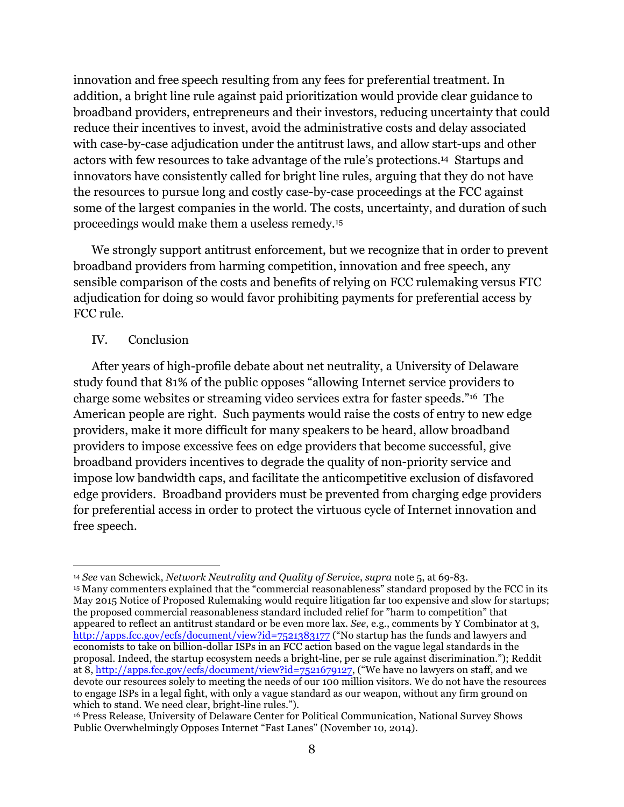innovation and free speech resulting from any fees for preferential treatment. In addition, a bright line rule against paid prioritization would provide clear guidance to broadband providers, entrepreneurs and their investors, reducing uncertainty that could reduce their incentives to invest, avoid the administrative costs and delay associated with case-by-case adjudication under the antitrust laws, and allow start-ups and other actors with few resources to take advantage of the rule's protections.14 Startups and innovators have consistently called for bright line rules, arguing that they do not have the resources to pursue long and costly case-by-case proceedings at the FCC against some of the largest companies in the world. The costs, uncertainty, and duration of such proceedings would make them a useless remedy.15

We strongly support antitrust enforcement, but we recognize that in order to prevent broadband providers from harming competition, innovation and free speech, any sensible comparison of the costs and benefits of relying on FCC rulemaking versus FTC adjudication for doing so would favor prohibiting payments for preferential access by FCC rule.

### IV. Conclusion

After years of high-profile debate about net neutrality, a University of Delaware study found that 81% of the public opposes "allowing Internet service providers to charge some websites or streaming video services extra for faster speeds."16 The American people are right. Such payments would raise the costs of entry to new edge providers, make it more difficult for many speakers to be heard, allow broadband providers to impose excessive fees on edge providers that become successful, give broadband providers incentives to degrade the quality of non-priority service and impose low bandwidth caps, and facilitate the anticompetitive exclusion of disfavored edge providers. Broadband providers must be prevented from charging edge providers for preferential access in order to protect the virtuous cycle of Internet innovation and free speech.

14 *See* van Schewick, *Network Neutrality and Quality of Service*, *supra* note 5, at 69-83.

<sup>15</sup> Many commenters explained that the "commercial reasonableness" standard proposed by the FCC in its May 2015 Notice of Proposed Rulemaking would require litigation far too expensive and slow for startups; the proposed commercial reasonableness standard included relief for "harm to competition" that appeared to reflect an antitrust standard or be even more lax. *See*, e.g., comments by Y Combinator at 3, http://apps.fcc.gov/ecfs/document/view?id=7521383177 ("No startup has the funds and lawyers and economists to take on billion-dollar ISPs in an FCC action based on the vague legal standards in the proposal. Indeed, the startup ecosystem needs a bright-line, per se rule against discrimination."); Reddit at 8, http://apps.fcc.gov/ecfs/document/view?id=7521679127, ("We have no lawyers on staff, and we devote our resources solely to meeting the needs of our 100 million visitors. We do not have the resources to engage ISPs in a legal fight, with only a vague standard as our weapon, without any firm ground on which to stand. We need clear, bright-line rules.").

<sup>16</sup> Press Release, University of Delaware Center for Political Communication, National Survey Shows Public Overwhelmingly Opposes Internet "Fast Lanes" (November 10, 2014).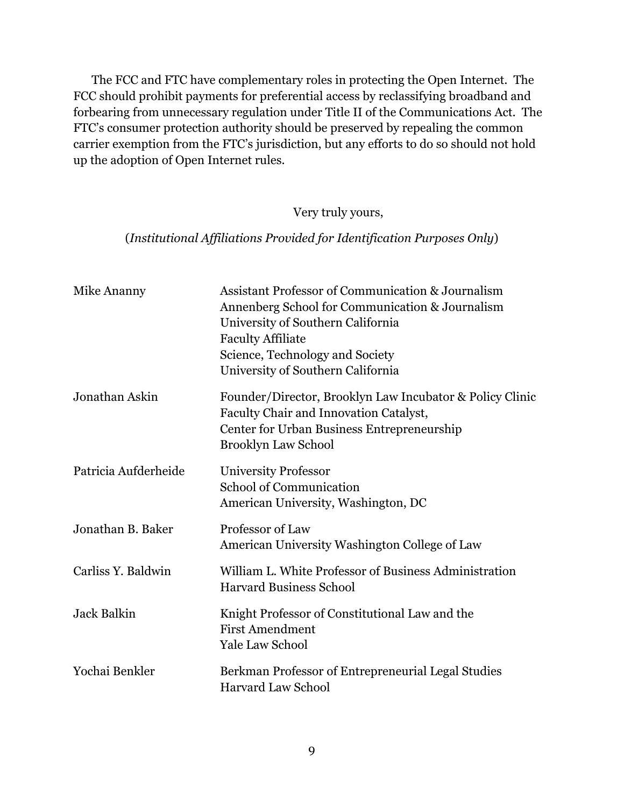The FCC and FTC have complementary roles in protecting the Open Internet. The FCC should prohibit payments for preferential access by reclassifying broadband and forbearing from unnecessary regulation under Title II of the Communications Act. The FTC's consumer protection authority should be preserved by repealing the common carrier exemption from the FTC's jurisdiction, but any efforts to do so should not hold up the adoption of Open Internet rules.

### Very truly yours,

## (*Institutional Affiliations Provided for Identification Purposes Only*)

| Mike Ananny          | <b>Assistant Professor of Communication &amp; Journalism</b><br>Annenberg School for Communication & Journalism<br>University of Southern California<br><b>Faculty Affiliate</b><br>Science, Technology and Society<br>University of Southern California |
|----------------------|----------------------------------------------------------------------------------------------------------------------------------------------------------------------------------------------------------------------------------------------------------|
| Jonathan Askin       | Founder/Director, Brooklyn Law Incubator & Policy Clinic<br>Faculty Chair and Innovation Catalyst,<br>Center for Urban Business Entrepreneurship<br><b>Brooklyn Law School</b>                                                                           |
| Patricia Aufderheide | <b>University Professor</b><br>School of Communication<br>American University, Washington, DC                                                                                                                                                            |
| Jonathan B. Baker    | Professor of Law<br>American University Washington College of Law                                                                                                                                                                                        |
| Carliss Y. Baldwin   | William L. White Professor of Business Administration<br><b>Harvard Business School</b>                                                                                                                                                                  |
| <b>Jack Balkin</b>   | Knight Professor of Constitutional Law and the<br><b>First Amendment</b><br><b>Yale Law School</b>                                                                                                                                                       |
| Yochai Benkler       | Berkman Professor of Entrepreneurial Legal Studies<br><b>Harvard Law School</b>                                                                                                                                                                          |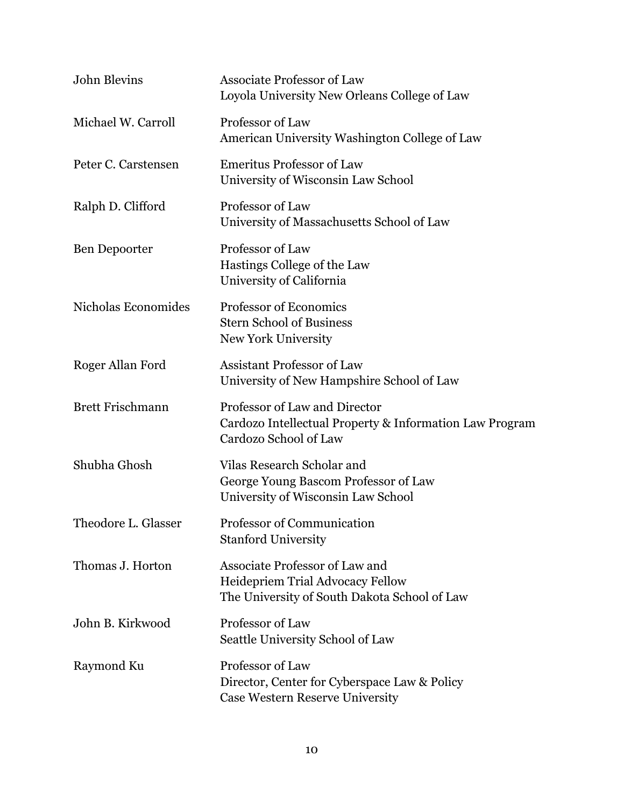| <b>John Blevins</b>     | <b>Associate Professor of Law</b><br>Loyola University New Orleans College of Law                                  |
|-------------------------|--------------------------------------------------------------------------------------------------------------------|
| Michael W. Carroll      | Professor of Law<br>American University Washington College of Law                                                  |
| Peter C. Carstensen     | <b>Emeritus Professor of Law</b><br>University of Wisconsin Law School                                             |
| Ralph D. Clifford       | Professor of Law<br>University of Massachusetts School of Law                                                      |
| <b>Ben Depoorter</b>    | Professor of Law<br>Hastings College of the Law<br>University of California                                        |
| Nicholas Economides     | <b>Professor of Economics</b><br><b>Stern School of Business</b><br>New York University                            |
| Roger Allan Ford        | <b>Assistant Professor of Law</b><br>University of New Hampshire School of Law                                     |
| <b>Brett Frischmann</b> | Professor of Law and Director<br>Cardozo Intellectual Property & Information Law Program<br>Cardozo School of Law  |
| Shubha Ghosh            | Vilas Research Scholar and<br>George Young Bascom Professor of Law<br>University of Wisconsin Law School           |
| Theodore L. Glasser     | Professor of Communication<br><b>Stanford University</b>                                                           |
| Thomas J. Horton        | Associate Professor of Law and<br>Heidepriem Trial Advocacy Fellow<br>The University of South Dakota School of Law |
| John B. Kirkwood        | Professor of Law<br>Seattle University School of Law                                                               |
| Raymond Ku              | Professor of Law<br>Director, Center for Cyberspace Law & Policy<br><b>Case Western Reserve University</b>         |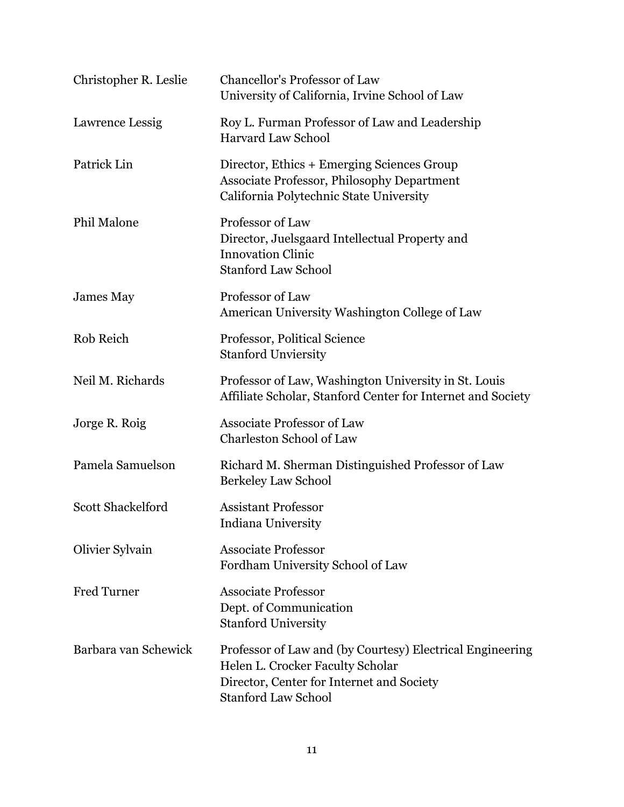| Christopher R. Leslie    | <b>Chancellor's Professor of Law</b><br>University of California, Irvine School of Law                                                                                   |
|--------------------------|--------------------------------------------------------------------------------------------------------------------------------------------------------------------------|
| Lawrence Lessig          | Roy L. Furman Professor of Law and Leadership<br><b>Harvard Law School</b>                                                                                               |
| Patrick Lin              | Director, Ethics + Emerging Sciences Group<br><b>Associate Professor, Philosophy Department</b><br>California Polytechnic State University                               |
| <b>Phil Malone</b>       | Professor of Law<br>Director, Juelsgaard Intellectual Property and<br><b>Innovation Clinic</b><br><b>Stanford Law School</b>                                             |
| <b>James May</b>         | Professor of Law<br>American University Washington College of Law                                                                                                        |
| Rob Reich                | Professor, Political Science<br><b>Stanford Unviersity</b>                                                                                                               |
| Neil M. Richards         | Professor of Law, Washington University in St. Louis<br>Affiliate Scholar, Stanford Center for Internet and Society                                                      |
| Jorge R. Roig            | <b>Associate Professor of Law</b><br><b>Charleston School of Law</b>                                                                                                     |
| Pamela Samuelson         | Richard M. Sherman Distinguished Professor of Law<br><b>Berkeley Law School</b>                                                                                          |
| <b>Scott Shackelford</b> | <b>Assistant Professor</b><br>Indiana University                                                                                                                         |
| Olivier Sylvain          | <b>Associate Professor</b><br>Fordham University School of Law                                                                                                           |
| <b>Fred Turner</b>       | <b>Associate Professor</b><br>Dept. of Communication<br><b>Stanford University</b>                                                                                       |
| Barbara van Schewick     | Professor of Law and (by Courtesy) Electrical Engineering<br>Helen L. Crocker Faculty Scholar<br>Director, Center for Internet and Society<br><b>Stanford Law School</b> |